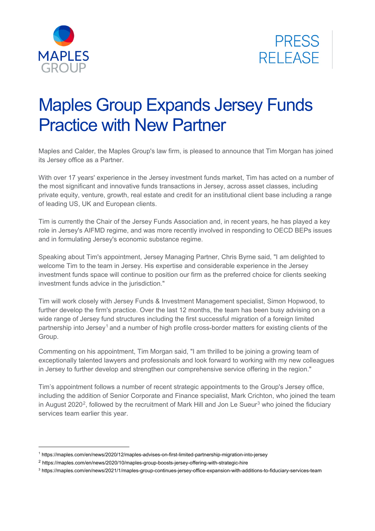



## Maples Group Expands Jersey Funds Practice with New Partner

Maples and Calder, the Maples Group's law firm, is pleased to announce that Tim Morgan has joined its Jersey office as a Partner.

With over 17 years' experience in the Jersey investment funds market, Tim has acted on a number of the most significant and innovative funds transactions in Jersey, across asset classes, including private equity, venture, growth, real estate and credit for an institutional client base including a range of leading US, UK and European clients.

Tim is currently the Chair of the Jersey Funds Association and, in recent years, he has played a key role in Jersey's AIFMD regime, and was more recently involved in responding to OECD BEPs issues and in formulating Jersey's economic substance regime.

Speaking about Tim's appointment, Jersey Managing Partner, Chris Byrne said, "I am delighted to welcome Tim to the team in Jersey. His expertise and considerable experience in the Jersey investment funds space will continue to position our firm as the preferred choice for clients seeking investment funds advice in the jurisdiction."

Tim will work closely with Jersey Funds & Investment Management specialist, Simon Hopwood, to further develop the firm's practice. Over the last 12 months, the team has been busy advising on a wide range of Jersey fund structures including the first [successful](https://maples.com/en/news/2020/12/maples-advises-on-first-limited-partnership-migration-into-jersey) migration of a foreign limited [partnership](https://maples.com/en/news/2020/12/maples-advises-on-first-limited-partnership-migration-into-jersey) into Jersey<sup>[1](#page-0-0)</sup> and a number of high profile cross-border matters for existing clients of the Group.

Commenting on his appointment, Tim Morgan said, "I am thrilled to be joining a growing team of exceptionally talented lawyers and professionals and look forward to working with my new colleagues in Jersey to further develop and strengthen our comprehensive service offering in the region."

Tim's appointment follows a number of recent strategic appointments to the Group's Jersey office, including the addition of Senior Corporate and Finance specialist, Mark Crichton, who joined the team in August 2020<sup>2</sup>, followed by the recruitment of Mark Hill and Jon Le Sueur<sup>[3](#page-0-2)</sup> who joined the fiduciary services team earlier this year.

<span id="page-0-0"></span> <sup>1</sup> https://maples.com/en/news/2020/12/maples-advises-on-first-limited-partnership-migration-into-jersey

<span id="page-0-1"></span><sup>2</sup> https://maples.com/en/news/2020/10/maples-group-boosts-jersey-offering-with-strategic-hire

<span id="page-0-2"></span><sup>3</sup> https://maples.com/en/news/2021/1/maples-group-continues-jersey-office-expansion-with-additions-to-fiduciary-services-team